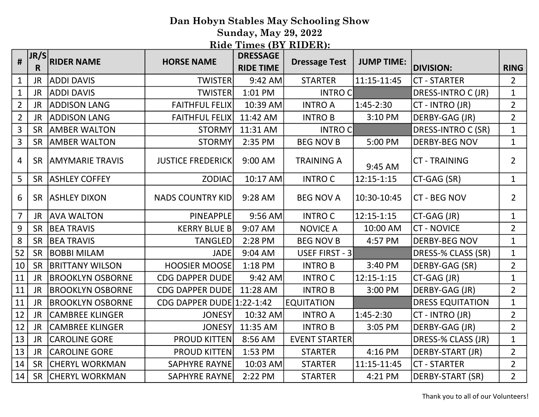Sunday, May 29, 2022

| #              | JR/S<br>R | <b>RIDER NAME</b>        | <b>HORSE NAME</b>         | <b>DRESSAGE</b><br><b>RIDE TIME</b> | <b>Dressage Test</b> | <b>JUMP TIME:</b> | <b>DIVISION:</b>        | <b>RING</b>    |
|----------------|-----------|--------------------------|---------------------------|-------------------------------------|----------------------|-------------------|-------------------------|----------------|
| $\mathbf{1}$   | <b>JR</b> | <b>ADDI DAVIS</b>        | <b>TWISTER</b>            | 9:42 AM                             | <b>STARTER</b>       | 11:15-11:45       | <b>CT-STARTER</b>       | $\overline{2}$ |
| $\mathbf{1}$   | <b>JR</b> | <b>ADDI DAVIS</b>        | <b>TWISTER</b>            | 1:01 PM                             | <b>INTROC</b>        |                   | DRESS-INTRO C (JR)      | $\mathbf{1}$   |
| $\overline{2}$ | <b>JR</b> | <b>ADDISON LANG</b>      | <b>FAITHFUL FELIX</b>     | 10:39 AM                            | <b>INTRO A</b>       | $1:45-2:30$       | CT - INTRO (JR)         | $\overline{2}$ |
| $\overline{2}$ | <b>JR</b> | <b>ADDISON LANG</b>      | <b>FAITHFUL FELIX</b>     | 11:42 AM                            | <b>INTROB</b>        | 3:10 PM           | DERBY-GAG (JR)          | $\overline{2}$ |
| $\overline{3}$ | <b>SR</b> | <b>AMBER WALTON</b>      | <b>STORMY</b>             | 11:31 AM                            | <b>INTROC</b>        |                   | DRESS-INTRO C (SR)      | $\mathbf{1}$   |
| $\overline{3}$ | <b>SR</b> | <b>AMBER WALTON</b>      | <b>STORMY</b>             | 2:35 PM                             | <b>BEG NOV B</b>     | 5:00 PM           | <b>DERBY-BEG NOV</b>    | $\mathbf{1}$   |
| $\overline{4}$ |           | SR   AMYMARIE TRAVIS     | <b>JUSTICE FREDERICK</b>  | 9:00 AM                             | <b>TRAINING A</b>    | 9:45 AM           | <b>CT-TRAINING</b>      | $\overline{2}$ |
| 5              |           | SR ASHLEY COFFEY         | <b>ZODIAC</b>             | 10:17 AM                            | <b>INTROC</b>        | 12:15-1:15        | CT-GAG (SR)             | $\mathbf{1}$   |
| 6              |           | <b>SR   ASHLEY DIXON</b> | <b>NADS COUNTRY KID</b>   | 9:28 AM                             | <b>BEG NOV A</b>     | 10:30-10:45       | <b>CT - BEG NOV</b>     | $\overline{2}$ |
| $\overline{7}$ | <b>JR</b> | <b>AVA WALTON</b>        | <b>PINEAPPLE</b>          | 9:56 AM                             | <b>INTROC</b>        | 12:15-1:15        | CT-GAG (JR)             | $\mathbf{1}$   |
| 9              | <b>SR</b> | <b>BEA TRAVIS</b>        | <b>KERRY BLUE B</b>       | 9:07 AM                             | <b>NOVICE A</b>      | 10:00 AM          | <b>CT - NOVICE</b>      | $\overline{2}$ |
| 8              | <b>SR</b> | <b>BEA TRAVIS</b>        | <b>TANGLED</b>            | 2:28 PM                             | <b>BEG NOV B</b>     | 4:57 PM           | <b>DERBY-BEG NOV</b>    | $\mathbf{1}$   |
| 52             | <b>SR</b> | <b>BOBBI MILAM</b>       | <b>JADE</b>               | 9:04 AM                             | USEF FIRST - 3       |                   | DRESS-% CLASS (SR)      | $\mathbf{1}$   |
| 10             | <b>SR</b> | <b>BRITTANY WILSON</b>   | <b>HOOSIER MOOSE</b>      | 1:18 PM                             | <b>INTROB</b>        | 3:40 PM           | DERBY-GAG (SR)          | $\overline{2}$ |
| 11             | <b>JR</b> | <b>BROOKLYN OSBORNE</b>  | <b>CDG DAPPER DUDE</b>    | 9:42 AM                             | <b>INTROC</b>        | 12:15-1:15        | CT-GAG (JR)             | $\mathbf{1}$   |
| 11             | <b>JR</b> | <b>BROOKLYN OSBORNE</b>  | <b>CDG DAPPER DUDE</b>    | 11:28 AM                            | <b>INTROB</b>        | 3:00 PM           | DERBY-GAG (JR)          | $\overline{2}$ |
| 11             | <b>JR</b> | <b>BROOKLYN OSBORNE</b>  | CDG DAPPER DUDE 1:22-1:42 |                                     | <b>EQUITATION</b>    |                   | <b>DRESS EQUITATION</b> | $\mathbf{1}$   |
| 12             | <b>JR</b> | <b>CAMBREE KLINGER</b>   | <b>JONESY</b>             | 10:32 AM                            | <b>INTRO A</b>       | $1:45-2:30$       | CT - INTRO (JR)         | $\overline{2}$ |
| 12             | <b>JR</b> | <b>CAMBREE KLINGER</b>   | <b>JONESY</b>             | 11:35 AM                            | <b>INTROB</b>        | 3:05 PM           | DERBY-GAG (JR)          | $\overline{2}$ |
| 13             | <b>JR</b> | <b>CAROLINE GORE</b>     | <b>PROUD KITTEN</b>       | 8:56 AM                             | <b>EVENT STARTER</b> |                   | DRESS-% CLASS (JR)      | $\mathbf{1}$   |
| 13             | <b>JR</b> | <b>CAROLINE GORE</b>     | <b>PROUD KITTEN</b>       | 1:53 PM                             | <b>STARTER</b>       | 4:16 PM           | DERBY-START (JR)        | $2^{\circ}$    |
| 14             | <b>SR</b> | <b>CHERYL WORKMAN</b>    | <b>SAPHYRE RAYNE</b>      | 10:03 AM                            | <b>STARTER</b>       | 11:15-11:45       | <b>CT - STARTER</b>     | $2^{\circ}$    |
| 14             |           | SR CHERYL WORKMAN        | <b>SAPHYRE RAYNE</b>      | 2:22 PM                             | <b>STARTER</b>       | 4:21 PM           | DERBY-START (SR)        | $2^{\circ}$    |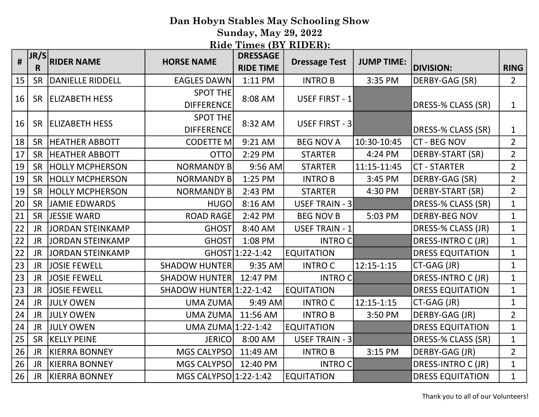Sunday, May 29, 2022

| #               | JR/S<br>R | <b>RIDER NAME</b>      | <b>HORSE NAME</b>                    | <b>DRESSAGE</b><br><b>RIDE TIME</b> | <b>Dressage Test</b>  | <b>JUMP TIME:</b> | <b>DIVISION:</b>        | <b>RING</b>    |
|-----------------|-----------|------------------------|--------------------------------------|-------------------------------------|-----------------------|-------------------|-------------------------|----------------|
| 15              | <b>SR</b> | DANIELLE RIDDELL       | <b>EAGLES DAWN</b>                   | 1:11 PM                             | <b>INTROB</b>         | 3:35 PM           | DERBY-GAG (SR)          | $\overline{2}$ |
| 16              | <b>SR</b> | <b>ELIZABETH HESS</b>  | <b>SPOT THE</b><br><b>DIFFERENCE</b> | 8:08 AM                             | USEF FIRST - 1        |                   | DRESS-% CLASS (SR)      | $\mathbf{1}$   |
| 16              | <b>SR</b> | <b>ELIZABETH HESS</b>  | <b>SPOT THE</b><br><b>DIFFERENCE</b> | 8:32 AM                             | USEF FIRST - 3        |                   | DRESS-% CLASS (SR)      | $\mathbf{1}$   |
| 18              | SR        | <b>HEATHER ABBOTT</b>  | <b>CODETTE M</b>                     | 9:21 AM                             | <b>BEG NOV A</b>      | 10:30-10:45       | <b>CT - BEG NOV</b>     | $2^{\circ}$    |
| 17              | SR        | <b>HEATHER ABBOTT</b>  | <b>OTTO</b>                          | 2:29 PM                             | <b>STARTER</b>        | 4:24 PM           | DERBY-START (SR)        | $\overline{2}$ |
| 19              | <b>SR</b> | <b>HOLLY MCPHERSON</b> | <b>NORMANDY B</b>                    | 9:56 AM                             | <b>STARTER</b>        | 11:15-11:45       | <b>CT - STARTER</b>     | $\overline{2}$ |
| 19              | <b>SR</b> | <b>HOLLY MCPHERSON</b> | <b>NORMANDY B</b>                    | 1:25 PM                             | <b>INTROB</b>         | 3:45 PM           | DERBY-GAG (SR)          | $\overline{2}$ |
| 19              | SR        | <b>HOLLY MCPHERSON</b> | <b>NORMANDY B</b>                    | 2:43 PM                             | <b>STARTER</b>        | 4:30 PM           | <b>DERBY-START (SR)</b> | $\overline{2}$ |
| 20              | <b>SR</b> | JAMIE EDWARDS          | <b>HUGO</b>                          | 8:16 AM                             | USEF TRAIN - 3        |                   | DRESS-% CLASS (SR)      | $\mathbf{1}$   |
| 21              | SR        | <b>JESSIE WARD</b>     | <b>ROAD RAGE</b>                     | 2:42 PM                             | <b>BEG NOV B</b>      | 5:03 PM           | <b>DERBY-BEG NOV</b>    | $\mathbf{1}$   |
| $\overline{22}$ | <b>JR</b> | JORDAN STEINKAMP       | <b>GHOST</b>                         | 8:40 AM                             | <b>USEF TRAIN - 1</b> |                   | DRESS-% CLASS (JR)      | $\mathbf{1}$   |
| 22              | JR.       | JORDAN STEINKAMP       | <b>GHOST</b>                         | 1:08 PM                             | <b>INTROC</b>         |                   | DRESS-INTRO C (JR)      | $\mathbf{1}$   |
| $\overline{22}$ | <b>JR</b> | JORDAN STEINKAMP       |                                      | GHOST 1:22-1:42                     | <b>EQUITATION</b>     |                   | <b>DRESS EQUITATION</b> | $\mathbf{1}$   |
| 23              | JR.       | <b>JOSIE FEWELL</b>    | <b>SHADOW HUNTER</b>                 | 9:35 AM                             | <b>INTRO C</b>        | 12:15-1:15        | CT-GAG (JR)             | $\mathbf{1}$   |
| 23              | JR.       | <b>JOSIE FEWELL</b>    | <b>SHADOW HUNTER</b>                 | 12:47 PM                            | <b>INTROC</b>         |                   | DRESS-INTRO C (JR)      | $\mathbf{1}$   |
| 23              | JR.       | <b>JOSIE FEWELL</b>    | SHADOW HUNTER 1:22-1:42              |                                     | <b>EQUITATION</b>     |                   | <b>DRESS EQUITATION</b> | $\mathbf{1}$   |
| 24              | <b>JR</b> | <b>JULY OWEN</b>       | UMA ZUMA                             | 9:49 AM                             | <b>INTROC</b>         | $12:15 - 1:15$    | CT-GAG (JR)             | $\mathbf{1}$   |
| 24              | JR.       | <b>JULY OWEN</b>       | UMA ZUMA                             | 11:56 AM                            | <b>INTROB</b>         | 3:50 PM           | DERBY-GAG (JR)          | $2^{\circ}$    |
| 24              | <b>JR</b> | <b>JULY OWEN</b>       | UMA ZUMA 1:22-1:42                   |                                     | <b>EQUITATION</b>     |                   | <b>DRESS EQUITATION</b> | $\mathbf{1}$   |
| 25              | SR        | <b>KELLY PEINE</b>     | JERICO                               | 8:00 AM                             | USEF TRAIN - 3        |                   | DRESS-% CLASS (SR)      | $\mathbf{1}$   |
| 26              | <b>JR</b> | <b>KIERRA BONNEY</b>   | MGS CALYPSO                          | 11:49 AM                            | <b>INTROB</b>         | 3:15 PM           | DERBY-GAG (JR)          | $\overline{2}$ |
| 26              | JR        | <b>KIERRA BONNEY</b>   | MGS CALYPSO                          | 12:40 PM                            | <b>INTRO C</b>        |                   | DRESS-INTRO C (JR)      | $\mathbf{1}$   |
| 26              | <b>JR</b> | KIERRA BONNEY          | MGS CALYPSO 1:22-1:42                |                                     | <b>EQUITATION</b>     |                   | <b>DRESS EQUITATION</b> | $\mathbf{1}$   |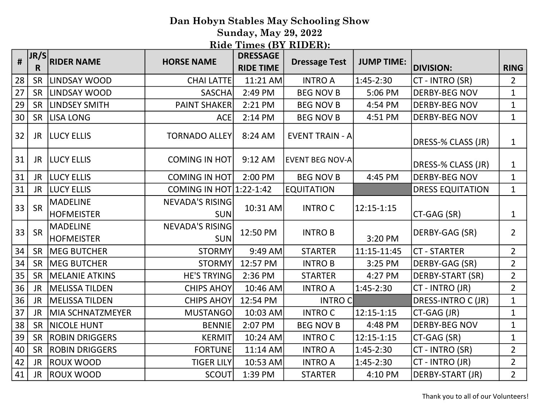Sunday, May 29, 2022

| #  | JR/S<br>R | <b>RIDER NAME</b>                    | <b>HORSE NAME</b>                    | <b>DRESSAGE</b><br><b>RIDE TIME</b> | <b>Dressage Test</b>   | <b>JUMP TIME:</b> | <b>DIVISION:</b>        | <b>RING</b>    |
|----|-----------|--------------------------------------|--------------------------------------|-------------------------------------|------------------------|-------------------|-------------------------|----------------|
| 28 | SR        | LINDSAY WOOD                         | <b>CHAI LATTE</b>                    | 11:21 AM                            | <b>INTRO A</b>         | $1:45-2:30$       | CT - INTRO (SR)         | $\overline{2}$ |
| 27 | SR        | LINDSAY WOOD                         | <b>SASCHA</b>                        | 2:49 PM                             | <b>BEG NOV B</b>       | 5:06 PM           | <b>DERBY-BEG NOV</b>    | $\mathbf{1}$   |
| 29 | <b>SR</b> | <b>LINDSEY SMITH</b>                 | <b>PAINT SHAKER</b>                  | 2:21 PM                             | <b>BEG NOV B</b>       | 4:54 PM           | <b>DERBY-BEG NOV</b>    | $\mathbf{1}$   |
| 30 | <b>SR</b> | <b>LISA LONG</b>                     | <b>ACE</b>                           | 2:14 PM                             | <b>BEG NOV B</b>       | 4:51 PM           | <b>DERBY-BEG NOV</b>    | $\mathbf{1}$   |
| 32 | JR.       | <b>LUCY ELLIS</b>                    | <b>TORNADO ALLEY</b>                 | 8:24 AM                             | <b>EVENT TRAIN - A</b> |                   | DRESS-% CLASS (JR)      | $\mathbf{1}$   |
| 31 | JR        | <b>LUCY ELLIS</b>                    | <b>COMING IN HOT</b>                 | $9:12$ AM                           | <b>EVENT BEG NOV-A</b> |                   | DRESS-% CLASS (JR)      | $\mathbf{1}$   |
| 31 | <b>JR</b> | <b>LUCY ELLIS</b>                    | <b>COMING IN HOT</b>                 | 2:00 PM                             | <b>BEG NOV B</b>       | 4:45 PM           | <b>DERBY-BEG NOV</b>    | $\mathbf{1}$   |
| 31 | <b>JR</b> | LUCY ELLIS                           | COMING IN HOT 1:22-1:42              |                                     | <b>EQUITATION</b>      |                   | <b>DRESS EQUITATION</b> | $\mathbf{1}$   |
| 33 | <b>SR</b> | <b>MADELINE</b><br><b>HOFMEISTER</b> | <b>NEVADA'S RISING</b><br><b>SUN</b> | 10:31 AM                            | <b>INTROC</b>          | 12:15-1:15        | CT-GAG (SR)             | $\mathbf{1}$   |
| 33 | SR        | <b>MADELINE</b><br><b>HOFMEISTER</b> | <b>NEVADA'S RISING</b><br><b>SUN</b> | 12:50 PM                            | <b>INTROB</b>          | 3:20 PM           | DERBY-GAG (SR)          | $\overline{2}$ |
| 34 | <b>SR</b> | <b>MEG BUTCHER</b>                   | <b>STORMY</b>                        | 9:49 AM                             | <b>STARTER</b>         | 11:15-11:45       | <b>CT - STARTER</b>     | $\overline{2}$ |
| 34 | <b>SR</b> | <b>MEG BUTCHER</b>                   | <b>STORMY</b>                        | 12:57 PM                            | <b>INTROB</b>          | 3:25 PM           | DERBY-GAG (SR)          | $\overline{2}$ |
| 35 | <b>SR</b> | <b>MELANIE ATKINS</b>                | <b>HE'S TRYING</b>                   | 2:36 PM                             | <b>STARTER</b>         | 4:27 PM           | DERBY-START (SR)        | $\overline{2}$ |
| 36 | <b>JR</b> | <b>MELISSA TILDEN</b>                | <b>CHIPS AHOY</b>                    | 10:46 AM                            | <b>INTRO A</b>         | 1:45-2:30         | CT - INTRO (JR)         | $\overline{2}$ |
| 36 | <b>JR</b> | <b>MELISSA TILDEN</b>                | <b>CHIPS AHOY</b>                    | 12:54 PM                            | <b>INTROC</b>          |                   | DRESS-INTRO C (JR)      | $\mathbf{1}$   |
| 37 | <b>JR</b> | <b>MIA SCHNATZMEYER</b>              | <b>MUSTANGO</b>                      | 10:03 AM                            | <b>INTRO C</b>         | $12:15 - 1:15$    | CT-GAG (JR)             | $\mathbf{1}$   |
| 38 | SR        | <b>NICOLE HUNT</b>                   | <b>BENNIE</b>                        | 2:07 PM                             | <b>BEG NOV B</b>       | 4:48 PM           | <b>DERBY-BEG NOV</b>    | $\mathbf{1}$   |
| 39 | <b>SR</b> | <b>ROBIN DRIGGERS</b>                | <b>KERMIT</b>                        | 10:24 AM                            | <b>INTROC</b>          | 12:15-1:15        | CT-GAG (SR)             | $\mathbf{1}$   |
| 40 | <b>SR</b> | <b>ROBIN DRIGGERS</b>                | <b>FORTUNE</b>                       | 11:14 AM                            | <b>INTRO A</b>         | $1:45-2:30$       | CT - INTRO (SR)         | $\overline{2}$ |
| 42 | JR.       | <b>ROUX WOOD</b>                     | <b>TIGER LILY</b>                    | 10:53 AM                            | <b>INTRO A</b>         | $1:45-2:30$       | CT - INTRO (JR)         | $\overline{2}$ |
| 41 | <b>JR</b> | <b>ROUX WOOD</b>                     | <b>SCOUT</b>                         | 1:39 PM                             | <b>STARTER</b>         | 4:10 PM           | DERBY-START (JR)        | $\overline{2}$ |